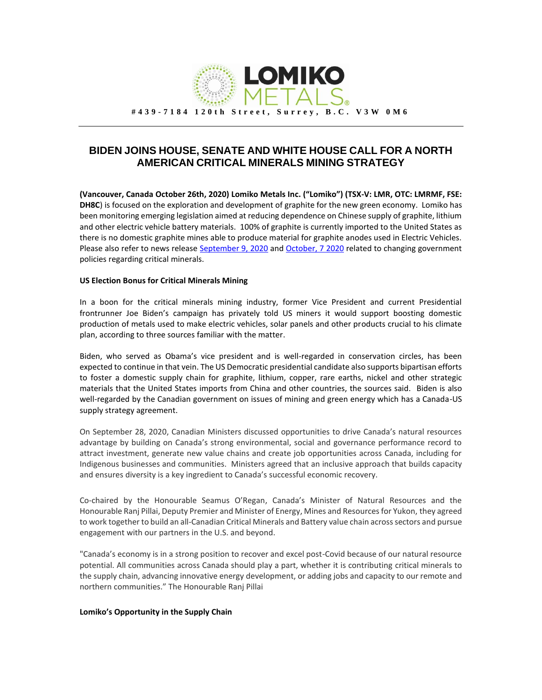

## **BIDEN JOINS HOUSE, SENATE AND WHITE HOUSE CALL FOR A NORTH AMERICAN CRITICAL MINERALS MINING STRATEGY**

**(Vancouver, Canada October 26th, 2020) Lomiko Metals Inc. ("Lomiko") (TSX-V: LMR, OTC: LMRMF, FSE: DH8C**) is focused on the exploration and development of graphite for the new green economy. Lomiko has been monitoring emerging legislation aimed at reducing dependence on Chinese supply of graphite, lithium and other electric vehicle battery materials. 100% of graphite is currently imported to the United States as there is no domestic graphite mines able to produce material for graphite anodes used in Electric Vehicles. Please also refer to news releas[e September 9, 2020](https://www.lomiko.com/uncategorized/lomiko-encouraged-by-ergi-rare-act-and-ore-act-as-legislators-aim-at-reducing-chinese-dependence-on-critical-metals-by-supporting-north-american-suppliers/) and [October, 7](https://www.youtube.com/watch?v=q7ZE-Q9FmPI&t=9s) 2020 related to changing government policies regarding critical minerals.

## **US Election Bonus for Critical Minerals Mining**

In a boon for the critical minerals mining industry, former Vice President and current Presidential frontrunner Joe Biden's campaign has privately told US miners it would support boosting domestic production of metals used to make electric vehicles, solar panels and other products crucial to his climate plan, according to three sources familiar with the matter.

Biden, who served as Obama's vice president and is well-regarded in conservation circles, has been expected to continue in that vein. The US Democratic presidential candidate also supports bipartisan efforts to foster a domestic supply chain for graphite, lithium, copper, rare earths, nickel and other strategic materials that the United States imports from China and other countries, the sources said. Biden is also well-regarded by the Canadian government on issues of mining and green energy which has a Canada-US supply strategy agreement.

On September 28, 2020, Canadian Ministers discussed opportunities to drive Canada's natural resources advantage by building on Canada's strong environmental, social and governance performance record to attract investment, generate new value chains and create job opportunities across Canada, including for Indigenous businesses and communities. Ministers agreed that an inclusive approach that builds capacity and ensures diversity is a key ingredient to Canada's successful economic recovery.

Co-chaired by the Honourable Seamus O'Regan, Canada's Minister of Natural Resources and the Honourable Ranj Pillai, Deputy Premier and Minister of Energy, Mines and Resources for Yukon, they agreed to work together to build an all-Canadian Critical Minerals and Battery value chain across sectors and pursue engagement with our partners in the U.S. and beyond.

"Canada's economy is in a strong position to recover and excel post-Covid because of our natural resource potential. All communities across Canada should play a part, whether it is contributing critical minerals to the supply chain, advancing innovative energy development, or adding jobs and capacity to our remote and northern communities." The Honourable Ranj Pillai

## **Lomiko's Opportunity in the Supply Chain**